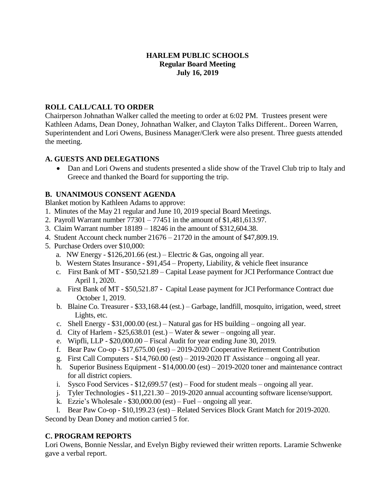### **HARLEM PUBLIC SCHOOLS Regular Board Meeting July 16, 2019**

### **ROLL CALL/CALL TO ORDER**

Chairperson Johnathan Walker called the meeting to order at 6:02 PM. Trustees present were Kathleen Adams, Dean Doney, Johnathan Walker, and Clayton Talks Different.. Doreen Warren, Superintendent and Lori Owens, Business Manager/Clerk were also present. Three guests attended the meeting.

### **A. GUESTS AND DELEGATIONS**

• Dan and Lori Owens and students presented a slide show of the Travel Club trip to Italy and Greece and thanked the Board for supporting the trip.

# **B. UNANIMOUS CONSENT AGENDA**

Blanket motion by Kathleen Adams to approve:

- 1. Minutes of the May 21 regular and June 10, 2019 special Board Meetings.
- 2. Payroll Warrant number 77301 77451 in the amount of \$1,481,613.97.
- 3. Claim Warrant number 18189 18246 in the amount of \$312,604.38.
- 4. Student Account check number 21676 21720 in the amount of \$47,809.19.
- 5. Purchase Orders over \$10,000:
	- a. NW Energy  $$126,201.66$  (est.) Electric & Gas, ongoing all year.
	- b. Western States Insurance \$91,454 Property, Liability, & vehicle fleet insurance
	- c. First Bank of MT \$50,521.89 Capital Lease payment for JCI Performance Contract due April 1, 2020.
	- a. First Bank of MT \$50,521.87 Capital Lease payment for JCI Performance Contract due October 1, 2019.
	- b. Blaine Co. Treasurer \$33,168.44 (est.) Garbage, landfill, mosquito, irrigation, weed, street Lights, etc.
	- c. Shell Energy \$31,000.00 (est.) Natural gas for HS building ongoing all year.
	- d. City of Harlem  $$25,638.01$  (est.) Water & sewer ongoing all year.
	- e. Wipfli, LLP \$20,000.00 Fiscal Audit for year ending June 30, 2019.
	- f. Bear Paw Co-op \$17,675.00 (est) 2019-2020 Cooperative Retirement Contribution
	- g. First Call Computers  $-$  \$14,760.00 (est)  $-$  2019-2020 IT Assistance  $-$  ongoing all year.
	- h. Superior Business Equipment \$14,000.00 (est) 2019-2020 toner and maintenance contract for all district copiers.
	- i. Sysco Food Services \$12,699.57 (est) Food for student meals ongoing all year.
	- j. Tyler Technologies \$11,221.30 2019-2020 annual accounting software license/support.
	- k. Ezzie's Wholesale \$30,000.00 (est) Fuel ongoing all year.
	- l. Bear Paw Co-op \$10,199.23 (est) Related Services Block Grant Match for 2019-2020.

Second by Dean Doney and motion carried 5 for.

# **C. PROGRAM REPORTS**

Lori Owens, Bonnie Nesslar, and Evelyn Bigby reviewed their written reports. Laramie Schwenke gave a verbal report.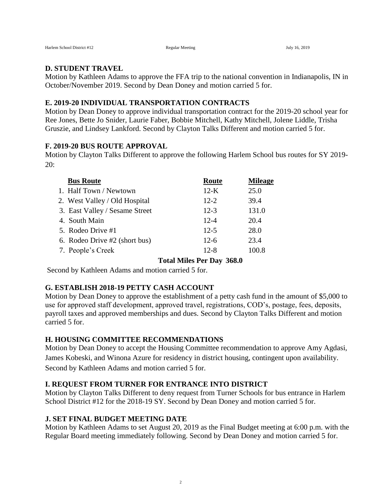#### **D. STUDENT TRAVEL**

Motion by Kathleen Adams to approve the FFA trip to the national convention in Indianapolis, IN in October/November 2019. Second by Dean Doney and motion carried 5 for.

#### **E. 2019-20 INDIVIDUAL TRANSPORTATION CONTRACTS**

Motion by Dean Doney to approve individual transportation contract for the 2019-20 school year for Ree Jones, Bette Jo Snider, Laurie Faber, Bobbie Mitchell, Kathy Mitchell, Jolene Liddle, Trisha Gruszie, and Lindsey Lankford. Second by Clayton Talks Different and motion carried 5 for.

### **F. 2019-20 BUS ROUTE APPROVAL**

Motion by Clayton Talks Different to approve the following Harlem School bus routes for SY 2019- 20:

| <b>Bus Route</b>               | Route    | <b>Mileage</b> |
|--------------------------------|----------|----------------|
| 1. Half Town / Newtown         | $12-K$   | 25.0           |
| 2. West Valley / Old Hospital  | $12 - 2$ | 39.4           |
| 3. East Valley / Sesame Street | $12 - 3$ | 131.0          |
| 4. South Main                  | $12 - 4$ | 20.4           |
| 5. Rodeo Drive #1              | $12 - 5$ | 28.0           |
| 6. Rodeo Drive #2 (short bus)  | $12-6$   | 23.4           |
| 7. People's Creek              | $12 - 8$ | 100 S          |

### **Total Miles Per Day 368.0**

Second by Kathleen Adams and motion carried 5 for.

### **G. ESTABLISH 2018-19 PETTY CASH ACCOUNT**

Motion by Dean Doney to approve the establishment of a petty cash fund in the amount of \$5,000 to use for approved staff development, approved travel, registrations, COD's, postage, fees, deposits, payroll taxes and approved memberships and dues. Second by Clayton Talks Different and motion carried 5 for.

### **H. HOUSING COMMITTEE RECOMMENDATIONS**

Motion by Dean Doney to accept the Housing Committee recommendation to approve Amy Agdasi, James Kobeski, and Winona Azure for residency in district housing, contingent upon availability. Second by Kathleen Adams and motion carried 5 for.

### **I. REQUEST FROM TURNER FOR ENTRANCE INTO DISTRICT**

Motion by Clayton Talks Different to deny request from Turner Schools for bus entrance in Harlem School District #12 for the 2018-19 SY. Second by Dean Doney and motion carried 5 for.

### **J. SET FINAL BUDGET MEETING DATE**

Motion by Kathleen Adams to set August 20, 2019 as the Final Budget meeting at 6:00 p.m. with the Regular Board meeting immediately following. Second by Dean Doney and motion carried 5 for.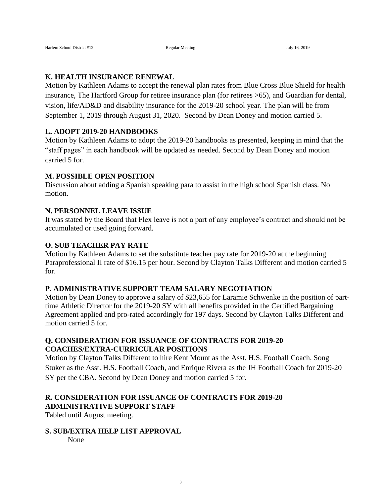#### **K. HEALTH INSURANCE RENEWAL**

Motion by Kathleen Adams to accept the renewal plan rates from Blue Cross Blue Shield for health insurance, The Hartford Group for retiree insurance plan (for retirees >65), and Guardian for dental, vision, life/AD&D and disability insurance for the 2019-20 school year. The plan will be from September 1, 2019 through August 31, 2020. Second by Dean Doney and motion carried 5.

#### **L. ADOPT 2019-20 HANDBOOKS**

Motion by Kathleen Adams to adopt the 2019-20 handbooks as presented, keeping in mind that the "staff pages" in each handbook will be updated as needed. Second by Dean Doney and motion carried 5 for.

#### **M. POSSIBLE OPEN POSITION**

Discussion about adding a Spanish speaking para to assist in the high school Spanish class. No motion.

#### **N. PERSONNEL LEAVE ISSUE**

It was stated by the Board that Flex leave is not a part of any employee's contract and should not be accumulated or used going forward.

#### **O. SUB TEACHER PAY RATE**

Motion by Kathleen Adams to set the substitute teacher pay rate for 2019-20 at the beginning Paraprofessional II rate of \$16.15 per hour. Second by Clayton Talks Different and motion carried 5 for.

#### **P. ADMINISTRATIVE SUPPORT TEAM SALARY NEGOTIATION**

Motion by Dean Doney to approve a salary of \$23,655 for Laramie Schwenke in the position of parttime Athletic Director for the 2019-20 SY with all benefits provided in the Certified Bargaining Agreement applied and pro-rated accordingly for 197 days. Second by Clayton Talks Different and motion carried 5 for.

### **Q. CONSIDERATION FOR ISSUANCE OF CONTRACTS FOR 2019-20 COACHES/EXTRA-CURRICULAR POSITIONS**

Motion by Clayton Talks Different to hire Kent Mount as the Asst. H.S. Football Coach, Song Stuker as the Asst. H.S. Football Coach, and Enrique Rivera as the JH Football Coach for 2019-20 SY per the CBA. Second by Dean Doney and motion carried 5 for.

# **R. CONSIDERATION FOR ISSUANCE OF CONTRACTS FOR 2019-20 ADMINISTRATIVE SUPPORT STAFF**

Tabled until August meeting.

### **S. SUB/EXTRA HELP LIST APPROVAL**

None